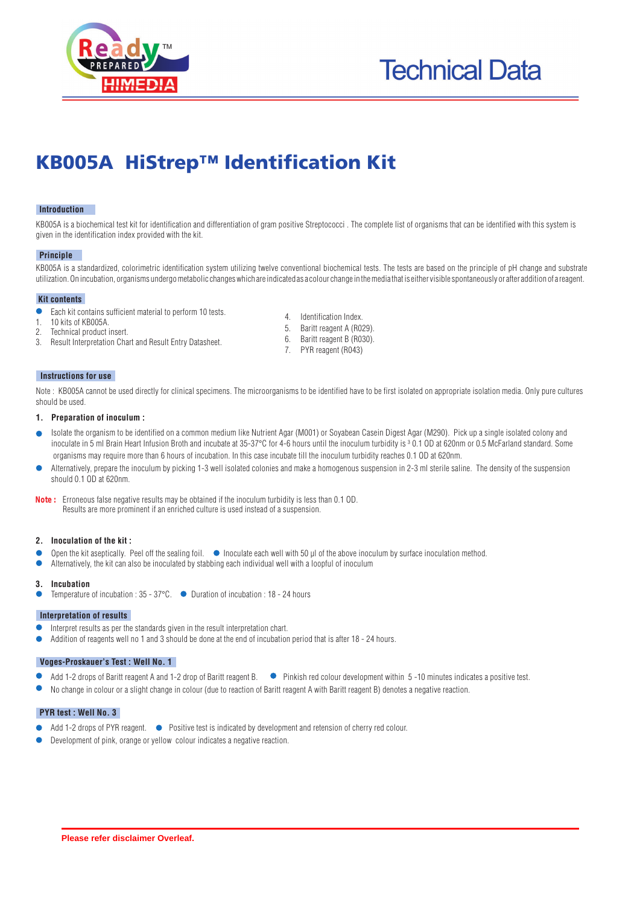



# KB005A HiStrep™ Identification Kit

# **Introduction**

KB005A is a biochemical test kit for identification and differentiation of gram positive Streptococci . The complete list of organisms that can be identified with this system is given in the identification index provided with the kit.

#### **Principle**

KB005A is a standardized, colorimetric identification system utilizing twelve conventional biochemical tests. The tests are based on the principle of pH change and substrate utilization. On incubation, organisms undergo metabolic changes which are indicated as a colour change in the media that is either visible spontaneously or after addition of a reagent.

#### l **Kit contents**

- Each kit contains sufficient material to perform 10 tests.
- 1. 10 kits of KB005A.<br>2 Technical product
- Technical product insert.
- 3. Result Interpretation Chart and Result Entry Datasheet.
- 4. Identification Index.
- 5. Baritt reagent A (R029).
- 6. Baritt reagent B (R030).
- 7. PYR reagent (R043)

#### **Instructions for use**

Note: KB005A cannot be used directly for clinical specimens. The microorganisms to be identified have to be first isolated on appropriate isolation media. Only pure cultures should be used.

### **1. Preparation of inoculum :**

- Isolate the organism to be identified on a common medium like Nutrient Agar (M001) or Soyabean Casein Digest Agar (M290). Pick up a single isolated colony and inoculate in 5 ml Brain Heart Infusion Broth and incubate at 35-37°C for 4-6 hours until the inoculum turbidity is 30.1 OD at 620nm or 0.5 McFarland standard. Some organisms may require more than 6 hours of incubation. In this case incubate till the inoculum turbidity reaches 0.1 OD at 620nm.
- Alternatively, prepare the inoculum by picking 1-3 well isolated colonies and make a homogenous suspension in 2-3 ml sterile saline. The density of the suspension should 0.1 OD at 620nm.

Erroneous false negative results may be obtained if the inoculum turbidity is less than 0.1 OD. **Note :** Results are more prominent if an enriched culture is used instead of a suspension.

# **2. Inoculation of the kit :**

- Open the kit aseptically. Peel off the sealing foil.  $\bullet$  Inoculate each well with 50  $\mu$  of the above inoculum by surface inoculation method.
- Alternatively, the kit can also be inoculated by stabbing each individual well with a loopful of inoculum

#### **3. Incubation**

Temperature of incubation :  $35 - 37^{\circ}$ C.  $\bullet$  Duration of incubation : 18 - 24 hours

#### **Interpretation of results**

- Interpret results as per the standards given in the result interpretation chart.
- Addition of reagents well no 1 and 3 should be done at the end of incubation period that is after 18 24 hours.

# **Voges-Proskauer's Test : Well No. 1**

- Add 1-2 drops of Baritt reagent A and 1-2 drop of Baritt reagent B. Pinkish red colour development within 5-10 minutes indicates a positive test.
- No change in colour or a slight change in colour (due to reaction of Baritt reagent A with Baritt reagent B) denotes a negative reaction.

# **PYR test : Well No. 3**

- Add 1-2 drops of PYR reagent.  $\bullet$  Positive test is indicated by development and retension of cherry red colour.
- Development of pink, orange or yellow colour indicates a negative reaction.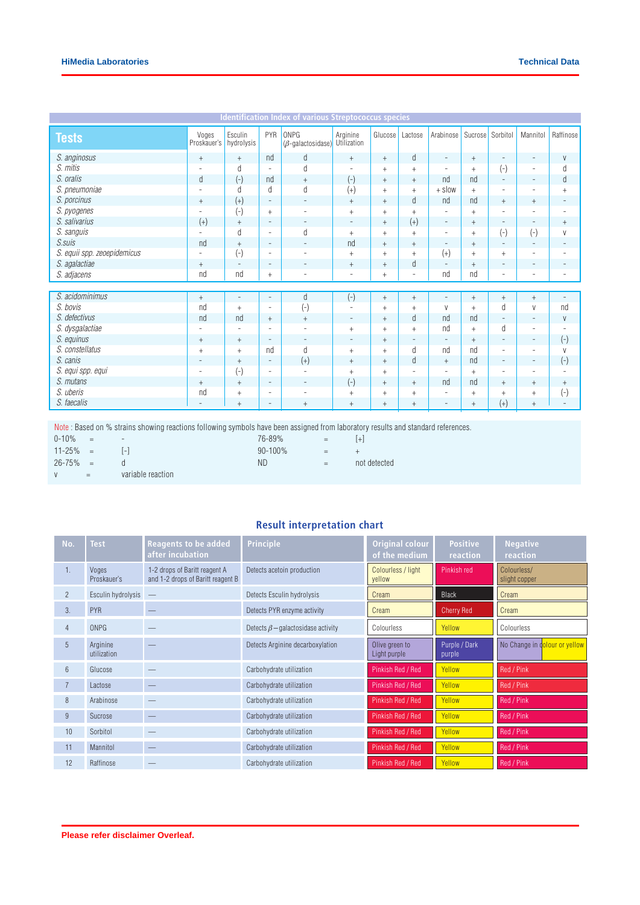| Esculin<br>PYR<br>Raffinose<br>Voges<br>ONPG<br>Arginine<br>Arabinose<br>Mannitol<br>Glucose<br>Lactose<br>Sucrose Sorbitol<br><b>Tests</b><br>Proskauer's<br>hydrolysis<br>$(\beta$ -galactosidase)<br>Utilization<br>S. anginosus<br>d<br>d<br>nd<br>V<br>$+$<br>$+$<br>$+$<br>$+$<br>$+$<br>$\blacksquare$<br>$\overline{\phantom{0}}$<br>$\overline{\phantom{a}}$<br>S. mitis<br>d<br>d<br>d<br>$(-)$<br>$\equiv$<br>$+$<br>$+$<br>$+$<br>$\overline{a}$<br>$\overline{\phantom{a}}$<br><b>.</b><br>$\overline{\phantom{a}}$<br>$(-)$<br>S. oralis<br>$(-)$<br>d<br>d<br>nd<br>nd<br>nd<br>$+$<br>$+$<br>$+$<br>$\overline{\phantom{a}}$<br>$\overline{\phantom{a}}$<br>d<br>S. pneumoniae<br>$(+)$<br>d<br>$+$ slow<br>d<br>$\begin{array}{c} + \end{array}$<br>$^{+}$<br>$+$<br>$^{+}$<br>$\overline{\phantom{a}}$<br>$\overline{\phantom{a}}$<br>$\overline{\phantom{a}}$<br>S. porcinus<br>d<br>$(+)$<br>nd<br>nd<br>$^+$<br>$\begin{array}{c} + \end{array}$<br>$\equiv$<br>$\overline{\phantom{a}}$<br>$+$<br>$+$<br>$^{+}$<br>$\overline{\phantom{a}}$<br>S. pyogenes<br>$(\text{-})$<br>$+$<br>$+$<br>$+$<br>$\ddot{}$<br>$^{+}$<br>$\equiv$<br>$\overline{\phantom{a}}$<br>٠<br>$\overline{\phantom{a}}$<br>S. salivarius<br>$(+)$<br>$(+)$<br>$+$<br>$\ddot{}$<br>$+$<br>$\begin{array}{c} + \end{array}$<br>$\overline{\phantom{a}}$<br>$\overline{\phantom{a}}$<br>$\overline{\phantom{a}}$<br>٠<br>$\overline{\phantom{a}}$<br>$\overline{\phantom{a}}$<br>S. sanguis<br>$(-)$<br>d<br>d<br>$(-)$<br>V<br>$^{+}$<br>$\overline{a}$<br>$\overline{\phantom{a}}$<br>$+$<br>$+$<br>$^{+}$<br>$\overline{\phantom{a}}$<br>S.suis<br>nd<br>nd<br>$+$<br>$+$<br>$+$<br>$+$<br>$\frac{1}{2} \left( \frac{1}{2} \right) \left( \frac{1}{2} \right) \left( \frac{1}{2} \right) \left( \frac{1}{2} \right) \left( \frac{1}{2} \right) \left( \frac{1}{2} \right) \left( \frac{1}{2} \right) \left( \frac{1}{2} \right) \left( \frac{1}{2} \right) \left( \frac{1}{2} \right) \left( \frac{1}{2} \right) \left( \frac{1}{2} \right) \left( \frac{1}{2} \right) \left( \frac{1}{2} \right) \left( \frac{1}{2} \right) \left( \frac{1}{2} \right) \left( \frac$<br>$\overline{\phantom{a}}$<br>$\overline{\phantom{a}}$<br>$\overline{\phantom{a}}$<br>$\overline{\phantom{a}}$<br>$\overline{\phantom{a}}$<br>S. equii spp. zeoepidemicus<br>$(-)$<br>$(+)$<br>$+$<br>$+$<br>$+$<br>$\equiv$<br>$+$<br>$+$<br>٠<br>$\overline{\phantom{a}}$<br>$\overline{\phantom{a}}$<br>d<br>S. agalactiae<br>$+$<br>$^{+}$<br>$+$<br>$\ddot{}$<br>$\frac{1}{2} \left( \frac{1}{2} \right) \left( \frac{1}{2} \right) \left( \frac{1}{2} \right) \left( \frac{1}{2} \right) \left( \frac{1}{2} \right) \left( \frac{1}{2} \right) \left( \frac{1}{2} \right) \left( \frac{1}{2} \right) \left( \frac{1}{2} \right) \left( \frac{1}{2} \right) \left( \frac{1}{2} \right) \left( \frac{1}{2} \right) \left( \frac{1}{2} \right) \left( \frac{1}{2} \right) \left( \frac{1}{2} \right) \left( \frac{1}{2} \right) \left( \frac$<br>$\overline{\phantom{a}}$<br>$\overline{\phantom{a}}$<br>$\overline{\phantom{a}}$<br>$\overline{\phantom{a}}$<br>$\qquad \qquad -$<br>$\overline{\phantom{a}}$<br>S. adjacens<br>nd<br>nd<br>nd<br>nd<br>$+$<br>$+$<br>$\sim$<br>$\overline{a}$<br>٠<br>$\overline{\phantom{a}}$<br>$\overline{\phantom{a}}$<br>$\overline{\phantom{a}}$<br>S. acidominimus<br>d<br>$(-)$<br>$+$<br>$+$<br>$+$<br>$+$<br>$+$<br>$+$<br>$\overline{\phantom{a}}$<br>$\frac{1}{2} \left( \frac{1}{2} \right) \left( \frac{1}{2} \right) \left( \frac{1}{2} \right) \left( \frac{1}{2} \right) \left( \frac{1}{2} \right) \left( \frac{1}{2} \right) \left( \frac{1}{2} \right) \left( \frac{1}{2} \right) \left( \frac{1}{2} \right) \left( \frac{1}{2} \right) \left( \frac{1}{2} \right) \left( \frac{1}{2} \right) \left( \frac{1}{2} \right) \left( \frac{1}{2} \right) \left( \frac{1}{2} \right) \left( \frac{1}{2} \right) \left( \frac$<br>$\overline{\phantom{a}}$<br>$\overline{\phantom{a}}$<br>S. bovis<br>$\left( \text{-} \right)$<br>d<br>nd<br>nd<br>V<br>V<br>$^{+}$<br>$\ddot{}$<br>$^{+}$<br>$+$<br>$\equiv$<br>$\sim$<br>S. defectivus<br>nd<br>d<br>nd<br>nd<br>nd<br>V<br>$+$<br>$+$<br>$+$<br>$\overline{\phantom{a}}$<br>$\overline{\phantom{a}}$<br>$\overline{\phantom{a}}$<br>S. dysgalactiae<br>d<br>nd<br>$+$<br>$\ddot{}$<br>$+$<br>$+$<br>٠<br>$\overline{\phantom{a}}$<br>$\overline{\phantom{a}}$<br>S. equinus<br>$\left( \text{-}\right)$<br>$+$<br>$\ddot{}$<br>$+$<br>$^{+}$<br>$\overline{\phantom{a}}$<br>$\overline{\phantom{a}}$<br>$\overline{\phantom{a}}$<br>$\overline{\phantom{a}}$<br>$\qquad \qquad -$<br>$\overline{\phantom{a}}$<br>$\overline{\phantom{a}}$<br>S. constellatus<br>d<br>d<br>nd<br>nd<br>nd<br>V<br>$+$<br>$+$<br>$+$<br>$+$<br>$\overline{\phantom{a}}$<br>٠<br>S. canis<br>$(+)$<br>$(-)$<br>d<br>nd<br>$+$<br>$+$<br>$+$<br>$+$<br>$\equiv$<br>$\overline{\phantom{a}}$<br>$\overline{\phantom{a}}$<br>$\overline{\phantom{a}}$<br>$(-)$<br>S. equi spp. equi<br>$\overline{\phantom{a}}$<br>$+$<br>$+$<br>$^{+}$<br>$\equiv$<br>$\equiv$<br>$\overline{\phantom{a}}$<br>$\overline{\phantom{a}}$<br>٠<br>$\overline{\phantom{a}}$<br>$\overline{\phantom{0}}$<br>S. mutans<br>$(-)$<br>nd<br>nd<br>$+$<br>$+$<br>$+$<br>$+$<br>$+$<br>$+$<br>$^{+}$<br>$\equiv$<br>$\overline{\phantom{a}}$<br>S. uberis<br>$(-)$<br>nd<br>$\ddot{}$<br>$^{+}$<br>$+$<br>$^{+}$<br>$^{+}$<br>$+$<br>$^{+}$<br>۰<br>$\overline{\phantom{0}}$<br>۰ | <b>Identification Index of various Streptococcus species</b> |  |                |  |     |        |                                  |     |           |          |        |  |
|--------------------------------------------------------------------------------------------------------------------------------------------------------------------------------------------------------------------------------------------------------------------------------------------------------------------------------------------------------------------------------------------------------------------------------------------------------------------------------------------------------------------------------------------------------------------------------------------------------------------------------------------------------------------------------------------------------------------------------------------------------------------------------------------------------------------------------------------------------------------------------------------------------------------------------------------------------------------------------------------------------------------------------------------------------------------------------------------------------------------------------------------------------------------------------------------------------------------------------------------------------------------------------------------------------------------------------------------------------------------------------------------------------------------------------------------------------------------------------------------------------------------------------------------------------------------------------------------------------------------------------------------------------------------------------------------------------------------------------------------------------------------------------------------------------------------------------------------------------------------------------------------------------------------------------------------------------------------------------------------------------------------------------------------------------------------------------------------------------------------------------------------------------------------------------------------------------------------------------------------------------------------------------------------------------------------------------------------------------------------------------------------------------------------------------------------------------------------------------------------------------------------------------------------------------------------------------------------------------------------------------------------------------------------------------------------------------------------------------------------------------------------------------------------------------------------------------------------------------------------------------------------------------------------------------------------------------------------------------------------------------------------------------------------------------------------------------------------------------------------------------------------------------------------------------------------------------------------------------------------------------------------------------------------------------------------------------------------------------------------------------------------------------------------------------------------------------------------------------------------------------------------------------------------------------------------------------------------------------------------------------------------------------------------------------------------------------------------------------------------------------------------------------------------------------------------------------------------------------------------------------------------------------------------------------------------------------------------------------------------------------------------------------------------------------------------------------------------------------------------------------------------------------------------------------------------------------------------------------------------------------------------------------------------------------------------------------------------------------------------------------------------------------------------------------------------------------------------------------------------------------------------------------------------------------------------------------------------------------------------------------------------------------------------------------------------------------------------------------------------------------------------------------------------------------------------------------------------------------------------------------------------------------------------------------------------------------------------------------------------------------------------------------------------------------------------------------------------------------------------------------------------------------------------------------------------------------------------------------------------------------------------------------------------------------------------------------------------------------------------------------------------------------------------------------------------------------------------------------------------------------------|--------------------------------------------------------------|--|----------------|--|-----|--------|----------------------------------|-----|-----------|----------|--------|--|
|                                                                                                                                                                                                                                                                                                                                                                                                                                                                                                                                                                                                                                                                                                                                                                                                                                                                                                                                                                                                                                                                                                                                                                                                                                                                                                                                                                                                                                                                                                                                                                                                                                                                                                                                                                                                                                                                                                                                                                                                                                                                                                                                                                                                                                                                                                                                                                                                                                                                                                                                                                                                                                                                                                                                                                                                                                                                                                                                                                                                                                                                                                                                                                                                                                                                                                                                                                                                                                                                                                                                                                                                                                                                                                                                                                                                                                                                                                                                                                                                                                                                                                                                                                                                                                                                                                                                                                                                                                                                                                                                                                                                                                                                                                                                                                                                                                                                                                                                                                                                                                                                                                                                                                                                                                                                                                                                                                                                                                                                                                              |                                                              |  |                |  |     |        |                                  |     |           |          |        |  |
|                                                                                                                                                                                                                                                                                                                                                                                                                                                                                                                                                                                                                                                                                                                                                                                                                                                                                                                                                                                                                                                                                                                                                                                                                                                                                                                                                                                                                                                                                                                                                                                                                                                                                                                                                                                                                                                                                                                                                                                                                                                                                                                                                                                                                                                                                                                                                                                                                                                                                                                                                                                                                                                                                                                                                                                                                                                                                                                                                                                                                                                                                                                                                                                                                                                                                                                                                                                                                                                                                                                                                                                                                                                                                                                                                                                                                                                                                                                                                                                                                                                                                                                                                                                                                                                                                                                                                                                                                                                                                                                                                                                                                                                                                                                                                                                                                                                                                                                                                                                                                                                                                                                                                                                                                                                                                                                                                                                                                                                                                                              |                                                              |  |                |  |     |        |                                  |     |           |          |        |  |
|                                                                                                                                                                                                                                                                                                                                                                                                                                                                                                                                                                                                                                                                                                                                                                                                                                                                                                                                                                                                                                                                                                                                                                                                                                                                                                                                                                                                                                                                                                                                                                                                                                                                                                                                                                                                                                                                                                                                                                                                                                                                                                                                                                                                                                                                                                                                                                                                                                                                                                                                                                                                                                                                                                                                                                                                                                                                                                                                                                                                                                                                                                                                                                                                                                                                                                                                                                                                                                                                                                                                                                                                                                                                                                                                                                                                                                                                                                                                                                                                                                                                                                                                                                                                                                                                                                                                                                                                                                                                                                                                                                                                                                                                                                                                                                                                                                                                                                                                                                                                                                                                                                                                                                                                                                                                                                                                                                                                                                                                                                              |                                                              |  |                |  |     |        |                                  |     |           |          |        |  |
|                                                                                                                                                                                                                                                                                                                                                                                                                                                                                                                                                                                                                                                                                                                                                                                                                                                                                                                                                                                                                                                                                                                                                                                                                                                                                                                                                                                                                                                                                                                                                                                                                                                                                                                                                                                                                                                                                                                                                                                                                                                                                                                                                                                                                                                                                                                                                                                                                                                                                                                                                                                                                                                                                                                                                                                                                                                                                                                                                                                                                                                                                                                                                                                                                                                                                                                                                                                                                                                                                                                                                                                                                                                                                                                                                                                                                                                                                                                                                                                                                                                                                                                                                                                                                                                                                                                                                                                                                                                                                                                                                                                                                                                                                                                                                                                                                                                                                                                                                                                                                                                                                                                                                                                                                                                                                                                                                                                                                                                                                                              |                                                              |  |                |  |     |        |                                  |     |           |          |        |  |
|                                                                                                                                                                                                                                                                                                                                                                                                                                                                                                                                                                                                                                                                                                                                                                                                                                                                                                                                                                                                                                                                                                                                                                                                                                                                                                                                                                                                                                                                                                                                                                                                                                                                                                                                                                                                                                                                                                                                                                                                                                                                                                                                                                                                                                                                                                                                                                                                                                                                                                                                                                                                                                                                                                                                                                                                                                                                                                                                                                                                                                                                                                                                                                                                                                                                                                                                                                                                                                                                                                                                                                                                                                                                                                                                                                                                                                                                                                                                                                                                                                                                                                                                                                                                                                                                                                                                                                                                                                                                                                                                                                                                                                                                                                                                                                                                                                                                                                                                                                                                                                                                                                                                                                                                                                                                                                                                                                                                                                                                                                              |                                                              |  |                |  |     |        |                                  |     |           |          |        |  |
|                                                                                                                                                                                                                                                                                                                                                                                                                                                                                                                                                                                                                                                                                                                                                                                                                                                                                                                                                                                                                                                                                                                                                                                                                                                                                                                                                                                                                                                                                                                                                                                                                                                                                                                                                                                                                                                                                                                                                                                                                                                                                                                                                                                                                                                                                                                                                                                                                                                                                                                                                                                                                                                                                                                                                                                                                                                                                                                                                                                                                                                                                                                                                                                                                                                                                                                                                                                                                                                                                                                                                                                                                                                                                                                                                                                                                                                                                                                                                                                                                                                                                                                                                                                                                                                                                                                                                                                                                                                                                                                                                                                                                                                                                                                                                                                                                                                                                                                                                                                                                                                                                                                                                                                                                                                                                                                                                                                                                                                                                                              |                                                              |  |                |  |     |        |                                  |     |           |          |        |  |
|                                                                                                                                                                                                                                                                                                                                                                                                                                                                                                                                                                                                                                                                                                                                                                                                                                                                                                                                                                                                                                                                                                                                                                                                                                                                                                                                                                                                                                                                                                                                                                                                                                                                                                                                                                                                                                                                                                                                                                                                                                                                                                                                                                                                                                                                                                                                                                                                                                                                                                                                                                                                                                                                                                                                                                                                                                                                                                                                                                                                                                                                                                                                                                                                                                                                                                                                                                                                                                                                                                                                                                                                                                                                                                                                                                                                                                                                                                                                                                                                                                                                                                                                                                                                                                                                                                                                                                                                                                                                                                                                                                                                                                                                                                                                                                                                                                                                                                                                                                                                                                                                                                                                                                                                                                                                                                                                                                                                                                                                                                              |                                                              |  |                |  |     |        |                                  |     |           |          |        |  |
|                                                                                                                                                                                                                                                                                                                                                                                                                                                                                                                                                                                                                                                                                                                                                                                                                                                                                                                                                                                                                                                                                                                                                                                                                                                                                                                                                                                                                                                                                                                                                                                                                                                                                                                                                                                                                                                                                                                                                                                                                                                                                                                                                                                                                                                                                                                                                                                                                                                                                                                                                                                                                                                                                                                                                                                                                                                                                                                                                                                                                                                                                                                                                                                                                                                                                                                                                                                                                                                                                                                                                                                                                                                                                                                                                                                                                                                                                                                                                                                                                                                                                                                                                                                                                                                                                                                                                                                                                                                                                                                                                                                                                                                                                                                                                                                                                                                                                                                                                                                                                                                                                                                                                                                                                                                                                                                                                                                                                                                                                                              |                                                              |  |                |  |     |        |                                  |     |           |          |        |  |
|                                                                                                                                                                                                                                                                                                                                                                                                                                                                                                                                                                                                                                                                                                                                                                                                                                                                                                                                                                                                                                                                                                                                                                                                                                                                                                                                                                                                                                                                                                                                                                                                                                                                                                                                                                                                                                                                                                                                                                                                                                                                                                                                                                                                                                                                                                                                                                                                                                                                                                                                                                                                                                                                                                                                                                                                                                                                                                                                                                                                                                                                                                                                                                                                                                                                                                                                                                                                                                                                                                                                                                                                                                                                                                                                                                                                                                                                                                                                                                                                                                                                                                                                                                                                                                                                                                                                                                                                                                                                                                                                                                                                                                                                                                                                                                                                                                                                                                                                                                                                                                                                                                                                                                                                                                                                                                                                                                                                                                                                                                              |                                                              |  |                |  |     |        |                                  |     |           |          |        |  |
|                                                                                                                                                                                                                                                                                                                                                                                                                                                                                                                                                                                                                                                                                                                                                                                                                                                                                                                                                                                                                                                                                                                                                                                                                                                                                                                                                                                                                                                                                                                                                                                                                                                                                                                                                                                                                                                                                                                                                                                                                                                                                                                                                                                                                                                                                                                                                                                                                                                                                                                                                                                                                                                                                                                                                                                                                                                                                                                                                                                                                                                                                                                                                                                                                                                                                                                                                                                                                                                                                                                                                                                                                                                                                                                                                                                                                                                                                                                                                                                                                                                                                                                                                                                                                                                                                                                                                                                                                                                                                                                                                                                                                                                                                                                                                                                                                                                                                                                                                                                                                                                                                                                                                                                                                                                                                                                                                                                                                                                                                                              |                                                              |  |                |  |     |        |                                  |     |           |          |        |  |
|                                                                                                                                                                                                                                                                                                                                                                                                                                                                                                                                                                                                                                                                                                                                                                                                                                                                                                                                                                                                                                                                                                                                                                                                                                                                                                                                                                                                                                                                                                                                                                                                                                                                                                                                                                                                                                                                                                                                                                                                                                                                                                                                                                                                                                                                                                                                                                                                                                                                                                                                                                                                                                                                                                                                                                                                                                                                                                                                                                                                                                                                                                                                                                                                                                                                                                                                                                                                                                                                                                                                                                                                                                                                                                                                                                                                                                                                                                                                                                                                                                                                                                                                                                                                                                                                                                                                                                                                                                                                                                                                                                                                                                                                                                                                                                                                                                                                                                                                                                                                                                                                                                                                                                                                                                                                                                                                                                                                                                                                                                              |                                                              |  |                |  |     |        |                                  |     |           |          |        |  |
|                                                                                                                                                                                                                                                                                                                                                                                                                                                                                                                                                                                                                                                                                                                                                                                                                                                                                                                                                                                                                                                                                                                                                                                                                                                                                                                                                                                                                                                                                                                                                                                                                                                                                                                                                                                                                                                                                                                                                                                                                                                                                                                                                                                                                                                                                                                                                                                                                                                                                                                                                                                                                                                                                                                                                                                                                                                                                                                                                                                                                                                                                                                                                                                                                                                                                                                                                                                                                                                                                                                                                                                                                                                                                                                                                                                                                                                                                                                                                                                                                                                                                                                                                                                                                                                                                                                                                                                                                                                                                                                                                                                                                                                                                                                                                                                                                                                                                                                                                                                                                                                                                                                                                                                                                                                                                                                                                                                                                                                                                                              |                                                              |  |                |  |     |        |                                  |     |           |          |        |  |
|                                                                                                                                                                                                                                                                                                                                                                                                                                                                                                                                                                                                                                                                                                                                                                                                                                                                                                                                                                                                                                                                                                                                                                                                                                                                                                                                                                                                                                                                                                                                                                                                                                                                                                                                                                                                                                                                                                                                                                                                                                                                                                                                                                                                                                                                                                                                                                                                                                                                                                                                                                                                                                                                                                                                                                                                                                                                                                                                                                                                                                                                                                                                                                                                                                                                                                                                                                                                                                                                                                                                                                                                                                                                                                                                                                                                                                                                                                                                                                                                                                                                                                                                                                                                                                                                                                                                                                                                                                                                                                                                                                                                                                                                                                                                                                                                                                                                                                                                                                                                                                                                                                                                                                                                                                                                                                                                                                                                                                                                                                              |                                                              |  |                |  |     |        |                                  |     |           |          |        |  |
|                                                                                                                                                                                                                                                                                                                                                                                                                                                                                                                                                                                                                                                                                                                                                                                                                                                                                                                                                                                                                                                                                                                                                                                                                                                                                                                                                                                                                                                                                                                                                                                                                                                                                                                                                                                                                                                                                                                                                                                                                                                                                                                                                                                                                                                                                                                                                                                                                                                                                                                                                                                                                                                                                                                                                                                                                                                                                                                                                                                                                                                                                                                                                                                                                                                                                                                                                                                                                                                                                                                                                                                                                                                                                                                                                                                                                                                                                                                                                                                                                                                                                                                                                                                                                                                                                                                                                                                                                                                                                                                                                                                                                                                                                                                                                                                                                                                                                                                                                                                                                                                                                                                                                                                                                                                                                                                                                                                                                                                                                                              |                                                              |  |                |  |     |        |                                  |     |           |          |        |  |
|                                                                                                                                                                                                                                                                                                                                                                                                                                                                                                                                                                                                                                                                                                                                                                                                                                                                                                                                                                                                                                                                                                                                                                                                                                                                                                                                                                                                                                                                                                                                                                                                                                                                                                                                                                                                                                                                                                                                                                                                                                                                                                                                                                                                                                                                                                                                                                                                                                                                                                                                                                                                                                                                                                                                                                                                                                                                                                                                                                                                                                                                                                                                                                                                                                                                                                                                                                                                                                                                                                                                                                                                                                                                                                                                                                                                                                                                                                                                                                                                                                                                                                                                                                                                                                                                                                                                                                                                                                                                                                                                                                                                                                                                                                                                                                                                                                                                                                                                                                                                                                                                                                                                                                                                                                                                                                                                                                                                                                                                                                              |                                                              |  |                |  |     |        |                                  |     |           |          |        |  |
|                                                                                                                                                                                                                                                                                                                                                                                                                                                                                                                                                                                                                                                                                                                                                                                                                                                                                                                                                                                                                                                                                                                                                                                                                                                                                                                                                                                                                                                                                                                                                                                                                                                                                                                                                                                                                                                                                                                                                                                                                                                                                                                                                                                                                                                                                                                                                                                                                                                                                                                                                                                                                                                                                                                                                                                                                                                                                                                                                                                                                                                                                                                                                                                                                                                                                                                                                                                                                                                                                                                                                                                                                                                                                                                                                                                                                                                                                                                                                                                                                                                                                                                                                                                                                                                                                                                                                                                                                                                                                                                                                                                                                                                                                                                                                                                                                                                                                                                                                                                                                                                                                                                                                                                                                                                                                                                                                                                                                                                                                                              |                                                              |  |                |  |     |        |                                  |     |           |          |        |  |
|                                                                                                                                                                                                                                                                                                                                                                                                                                                                                                                                                                                                                                                                                                                                                                                                                                                                                                                                                                                                                                                                                                                                                                                                                                                                                                                                                                                                                                                                                                                                                                                                                                                                                                                                                                                                                                                                                                                                                                                                                                                                                                                                                                                                                                                                                                                                                                                                                                                                                                                                                                                                                                                                                                                                                                                                                                                                                                                                                                                                                                                                                                                                                                                                                                                                                                                                                                                                                                                                                                                                                                                                                                                                                                                                                                                                                                                                                                                                                                                                                                                                                                                                                                                                                                                                                                                                                                                                                                                                                                                                                                                                                                                                                                                                                                                                                                                                                                                                                                                                                                                                                                                                                                                                                                                                                                                                                                                                                                                                                                              |                                                              |  |                |  |     |        |                                  |     |           |          |        |  |
|                                                                                                                                                                                                                                                                                                                                                                                                                                                                                                                                                                                                                                                                                                                                                                                                                                                                                                                                                                                                                                                                                                                                                                                                                                                                                                                                                                                                                                                                                                                                                                                                                                                                                                                                                                                                                                                                                                                                                                                                                                                                                                                                                                                                                                                                                                                                                                                                                                                                                                                                                                                                                                                                                                                                                                                                                                                                                                                                                                                                                                                                                                                                                                                                                                                                                                                                                                                                                                                                                                                                                                                                                                                                                                                                                                                                                                                                                                                                                                                                                                                                                                                                                                                                                                                                                                                                                                                                                                                                                                                                                                                                                                                                                                                                                                                                                                                                                                                                                                                                                                                                                                                                                                                                                                                                                                                                                                                                                                                                                                              |                                                              |  |                |  |     |        |                                  |     |           |          |        |  |
|                                                                                                                                                                                                                                                                                                                                                                                                                                                                                                                                                                                                                                                                                                                                                                                                                                                                                                                                                                                                                                                                                                                                                                                                                                                                                                                                                                                                                                                                                                                                                                                                                                                                                                                                                                                                                                                                                                                                                                                                                                                                                                                                                                                                                                                                                                                                                                                                                                                                                                                                                                                                                                                                                                                                                                                                                                                                                                                                                                                                                                                                                                                                                                                                                                                                                                                                                                                                                                                                                                                                                                                                                                                                                                                                                                                                                                                                                                                                                                                                                                                                                                                                                                                                                                                                                                                                                                                                                                                                                                                                                                                                                                                                                                                                                                                                                                                                                                                                                                                                                                                                                                                                                                                                                                                                                                                                                                                                                                                                                                              |                                                              |  |                |  |     |        |                                  |     |           |          |        |  |
|                                                                                                                                                                                                                                                                                                                                                                                                                                                                                                                                                                                                                                                                                                                                                                                                                                                                                                                                                                                                                                                                                                                                                                                                                                                                                                                                                                                                                                                                                                                                                                                                                                                                                                                                                                                                                                                                                                                                                                                                                                                                                                                                                                                                                                                                                                                                                                                                                                                                                                                                                                                                                                                                                                                                                                                                                                                                                                                                                                                                                                                                                                                                                                                                                                                                                                                                                                                                                                                                                                                                                                                                                                                                                                                                                                                                                                                                                                                                                                                                                                                                                                                                                                                                                                                                                                                                                                                                                                                                                                                                                                                                                                                                                                                                                                                                                                                                                                                                                                                                                                                                                                                                                                                                                                                                                                                                                                                                                                                                                                              |                                                              |  |                |  |     |        |                                  |     |           |          |        |  |
|                                                                                                                                                                                                                                                                                                                                                                                                                                                                                                                                                                                                                                                                                                                                                                                                                                                                                                                                                                                                                                                                                                                                                                                                                                                                                                                                                                                                                                                                                                                                                                                                                                                                                                                                                                                                                                                                                                                                                                                                                                                                                                                                                                                                                                                                                                                                                                                                                                                                                                                                                                                                                                                                                                                                                                                                                                                                                                                                                                                                                                                                                                                                                                                                                                                                                                                                                                                                                                                                                                                                                                                                                                                                                                                                                                                                                                                                                                                                                                                                                                                                                                                                                                                                                                                                                                                                                                                                                                                                                                                                                                                                                                                                                                                                                                                                                                                                                                                                                                                                                                                                                                                                                                                                                                                                                                                                                                                                                                                                                                              |                                                              |  |                |  |     |        |                                  |     |           |          |        |  |
|                                                                                                                                                                                                                                                                                                                                                                                                                                                                                                                                                                                                                                                                                                                                                                                                                                                                                                                                                                                                                                                                                                                                                                                                                                                                                                                                                                                                                                                                                                                                                                                                                                                                                                                                                                                                                                                                                                                                                                                                                                                                                                                                                                                                                                                                                                                                                                                                                                                                                                                                                                                                                                                                                                                                                                                                                                                                                                                                                                                                                                                                                                                                                                                                                                                                                                                                                                                                                                                                                                                                                                                                                                                                                                                                                                                                                                                                                                                                                                                                                                                                                                                                                                                                                                                                                                                                                                                                                                                                                                                                                                                                                                                                                                                                                                                                                                                                                                                                                                                                                                                                                                                                                                                                                                                                                                                                                                                                                                                                                                              |                                                              |  |                |  |     |        |                                  |     |           |          |        |  |
|                                                                                                                                                                                                                                                                                                                                                                                                                                                                                                                                                                                                                                                                                                                                                                                                                                                                                                                                                                                                                                                                                                                                                                                                                                                                                                                                                                                                                                                                                                                                                                                                                                                                                                                                                                                                                                                                                                                                                                                                                                                                                                                                                                                                                                                                                                                                                                                                                                                                                                                                                                                                                                                                                                                                                                                                                                                                                                                                                                                                                                                                                                                                                                                                                                                                                                                                                                                                                                                                                                                                                                                                                                                                                                                                                                                                                                                                                                                                                                                                                                                                                                                                                                                                                                                                                                                                                                                                                                                                                                                                                                                                                                                                                                                                                                                                                                                                                                                                                                                                                                                                                                                                                                                                                                                                                                                                                                                                                                                                                                              |                                                              |  |                |  |     |        |                                  |     |           |          |        |  |
|                                                                                                                                                                                                                                                                                                                                                                                                                                                                                                                                                                                                                                                                                                                                                                                                                                                                                                                                                                                                                                                                                                                                                                                                                                                                                                                                                                                                                                                                                                                                                                                                                                                                                                                                                                                                                                                                                                                                                                                                                                                                                                                                                                                                                                                                                                                                                                                                                                                                                                                                                                                                                                                                                                                                                                                                                                                                                                                                                                                                                                                                                                                                                                                                                                                                                                                                                                                                                                                                                                                                                                                                                                                                                                                                                                                                                                                                                                                                                                                                                                                                                                                                                                                                                                                                                                                                                                                                                                                                                                                                                                                                                                                                                                                                                                                                                                                                                                                                                                                                                                                                                                                                                                                                                                                                                                                                                                                                                                                                                                              |                                                              |  |                |  |     |        |                                  |     |           |          |        |  |
| $\overline{\phantom{a}}$<br>Ξ.<br>$\qquad \qquad -$<br>$\qquad \qquad -$                                                                                                                                                                                                                                                                                                                                                                                                                                                                                                                                                                                                                                                                                                                                                                                                                                                                                                                                                                                                                                                                                                                                                                                                                                                                                                                                                                                                                                                                                                                                                                                                                                                                                                                                                                                                                                                                                                                                                                                                                                                                                                                                                                                                                                                                                                                                                                                                                                                                                                                                                                                                                                                                                                                                                                                                                                                                                                                                                                                                                                                                                                                                                                                                                                                                                                                                                                                                                                                                                                                                                                                                                                                                                                                                                                                                                                                                                                                                                                                                                                                                                                                                                                                                                                                                                                                                                                                                                                                                                                                                                                                                                                                                                                                                                                                                                                                                                                                                                                                                                                                                                                                                                                                                                                                                                                                                                                                                                                     | S. faecalis                                                  |  | $\overline{+}$ |  | $+$ | $^{+}$ | $\begin{array}{c} + \end{array}$ | $+$ | $\ddot{}$ | $^{(+)}$ | $^{+}$ |  |

Note : Based on % strains showing reactions following symbols have been assigned from laboratory results and standard references.

| $0 - 10%$     | $=$ | $\overline{\phantom{a}}$ | 76-89%  | $=$ |              |
|---------------|-----|--------------------------|---------|-----|--------------|
| $11 - 25\% =$ |     | $ - $                    | 90-100% | $=$ |              |
| $26 - 75\% =$ |     |                          | ND      | $=$ | not detected |
| $\mathbf{V}$  | $=$ | variable reaction        |         |     |              |

# **Result interpretation chart**

| No.            | Test                    | <b>Reagents to be added</b><br>after incubation                    | <b>Principle</b>                         | <b>Original colour</b><br>of the medium | <b>Positive</b><br>reaction | <b>Negative</b><br>reaction   |
|----------------|-------------------------|--------------------------------------------------------------------|------------------------------------------|-----------------------------------------|-----------------------------|-------------------------------|
| $\blacksquare$ | Voges<br>Proskauer's    | 1-2 drops of Baritt reagent A<br>and 1-2 drops of Baritt reagent B | Detects acetoin production               | Colourless / light<br>vellow            | Pinkish red                 | Colourless/<br>slight copper  |
| $\overline{2}$ | Esculin hydrolysis      |                                                                    | Detects Esculin hydrolysis               | Cream                                   | <b>Black</b>                | Cream                         |
| 3.             | <b>PYR</b>              |                                                                    | Detects PYR enzyme activity              | Cream                                   | <b>Cherry Red</b>           | Cream                         |
| 4              | ONPG                    |                                                                    | Detects $\beta$ – galactosidase activity | Colourless                              | Yellow                      | Colourless                    |
| 5              | Arginine<br>utilization |                                                                    | Detects Arginine decarboxylation         | Olive green to<br>Light purple          | Purple / Dark<br>purple     | No Change in dolour or yellow |
| 6              | Glucose                 |                                                                    | Carbohydrate utilization                 | Pinkish Red / Red                       | Yellow                      | Red / Pink                    |
| 7              | Lactose                 |                                                                    | Carbohydrate utilization                 | Pinkish Red / Red                       | Yellow                      | Red / Pink                    |
| 8              | Arabinose               |                                                                    | Carbohydrate utilization                 | Pinkish Red / Red                       | Yellow                      | Red / Pink                    |
| 9              | Sucrose                 |                                                                    | Carbohydrate utilization                 | Pinkish Red / Red                       | Yellow                      | Red / Pink                    |
| 10             | Sorbitol                |                                                                    | Carbohydrate utilization                 | Pinkish Red / Red                       | Yellow                      | Red / Pink                    |
| 11             | Mannitol                |                                                                    | Carbohydrate utilization                 | Pinkish Red / Red                       | Yellow                      | Red / Pink                    |
| 12             | Raffinose               |                                                                    | Carbohydrate utilization                 | Pinkish Red / Red                       | Yellow                      | Red / Pink                    |